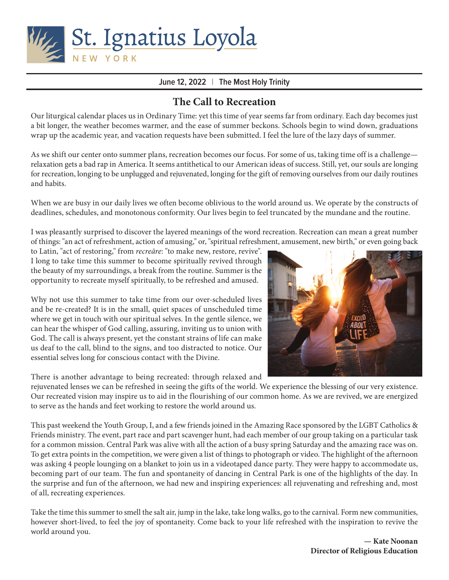

## **June 12, 2022** | **The Most Holy Trinity**

# **The Call to Recreation**

Our liturgical calendar places us in Ordinary Time: yet this time of year seems far from ordinary. Each day becomes just a bit longer, the weather becomes warmer, and the ease of summer beckons. Schools begin to wind down, graduations wrap up the academic year, and vacation requests have been submitted. I feel the lure of the lazy days of summer.

As we shift our center onto summer plans, recreation becomes our focus. For some of us, taking time off is a challenge relaxation gets a bad rap in America. It seems antithetical to our American ideas of success. Still, yet, our souls are longing for recreation, longing to be unplugged and rejuvenated, longing for the gift of removing ourselves from our daily routines and habits.

When we are busy in our daily lives we often become oblivious to the world around us. We operate by the constructs of deadlines, schedules, and monotonous conformity. Our lives begin to feel truncated by the mundane and the routine.

I was pleasantly surprised to discover the layered meanings of the word recreation. Recreation can mean a great number of things: "an act of refreshment, action of amusing," or, "spiritual refreshment, amusement, new birth," or even going back

to Latin, "act of restoring," from *recreāre*: "to make new, restore, revive". I long to take time this summer to become spiritually revived through the beauty of my surroundings, a break from the routine. Summer is the opportunity to recreate myself spiritually, to be refreshed and amused.

Why not use this summer to take time from our over-scheduled lives and be re-created? It is in the small, quiet spaces of unscheduled time where we get in touch with our spiritual selves. In the gentle silence, we can hear the whisper of God calling, assuring, inviting us to union with God. The call is always present, yet the constant strains of life can make us deaf to the call, blind to the signs, and too distracted to notice. Our essential selves long for conscious contact with the Divine.

There is another advantage to being recreated: through relaxed and



rejuvenated lenses we can be refreshed in seeing the gifts of the world. We experience the blessing of our very existence. Our recreated vision may inspire us to aid in the flourishing of our common home. As we are revived, we are energized to serve as the hands and feet working to restore the world around us.

This past weekend the Youth Group, I, and a few friends joined in the Amazing Race sponsored by the LGBT Catholics & Friends ministry. The event, part race and part scavenger hunt, had each member of our group taking on a particular task for a common mission. Central Park was alive with all the action of a busy spring Saturday and the amazing race was on. To get extra points in the competition, we were given a list of things to photograph or video. The highlight of the afternoon was asking 4 people lounging on a blanket to join us in a videotaped dance party. They were happy to accommodate us, becoming part of our team. The fun and spontaneity of dancing in Central Park is one of the highlights of the day. In the surprise and fun of the afternoon, we had new and inspiring experiences: all rejuvenating and refreshing and, most of all, recreating experiences.

Take the time this summer to smell the salt air, jump in the lake, take long walks, go to the carnival. Form new communities, however short-lived, to feel the joy of spontaneity. Come back to your life refreshed with the inspiration to revive the world around you.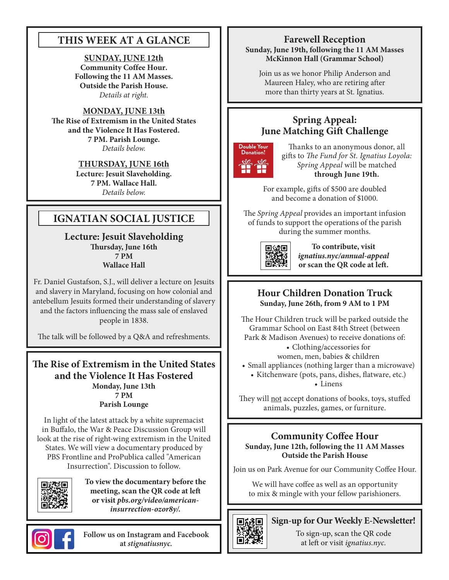# **THIS WEEK AT A GLANCE**

### **SUNDAY, JUNE 12th Community Coffee Hour. Following the 11 AM Masses. Outside the Parish House.**  *Details at right.*

**MONDAY, JUNE 13th The Rise of Extremism in the United States and the Violence It Has Fostered. 7 PM. Parish Lounge.**  *Details below.*

> **THURSDAY, JUNE 16th Lecture: Jesuit Slaveholding. 7 PM. Wallace Hall.**  *Details below.*

# **IGNATIAN SOCIAL JUSTICE**

**Lecture: Jesuit Slaveholding Thursday, June 16th 7 PM Wallace Hall**

Fr. Daniel Gustafson, S.J., will deliver a lecture on Jesuits and slavery in Maryland, focusing on how colonial and antebellum Jesuits formed their understanding of slavery and the factors influencing the mass sale of enslaved people in 1838.

The talk will be followed by a Q&A and refreshments.

**The Rise of Extremism in the United States and the Violence It Has Fostered Monday, June 13th 7 PM Parish Lounge**

In light of the latest attack by a white supremacist in Buffalo, the War & Peace Discussion Group will look at the rise of right-wing extremism in the United States. We will view a documentary produced by PBS Frontline and ProPublica called "American Insurrection". Discussion to follow.



**To view the documentary before the meeting, scan the QR code at left or visit** *pbs.org/video/americaninsurrection-ozor8y/.*

# **Farewell Reception Sunday, June 19th, following the 11 AM Masses McKinnon Hall (Grammar School)**

Join us as we honor Philip Anderson and Maureen Haley, who are retiring after more than thirty years at St. Ignatius.

# **Spring Appeal: June Matching Gift Challenge**



Thanks to an anonymous donor, all gifts to *The Fund for St. Ignatius Loyola: Spring Appeal* will be matched **through June 19th.** 

For example, gifts of \$500 are doubled and become a donation of \$1000.

The *Spring Appeal* provides an important infusion of funds to support the operations of the parish during the summer months.



**To contribute, visit**  *ignatius.nyc/annual-appeal*  **or scan the QR code at left.**

## **Hour Children Donation Truck Sunday, June 26th, from 9 AM to 1 PM**

The Hour Children truck will be parked outside the Grammar School on East 84th Street (between Park & Madison Avenues) to receive donations of: • Clothing/accessories for women, men, babies & children • Small appliances (nothing larger than a microwave)

• Kitchenware (pots, pans, dishes, flatware, etc.) • Linens

They will not accept donations of books, toys, stuffed animals, puzzles, games, or furniture.

## **Community Coffee Hour Sunday, June 12th, following the 11 AM Masses Outside the Parish House**

Join us on Park Avenue for our Community Coffee Hour.

We will have coffee as well as an opportunity to mix & mingle with your fellow parishioners.



## **Sign-up for Our Weekly E-Newsletter!**

To sign-up, scan the QR code at left or visit *ignatius.nyc.*

**Follow us on Instagram and Facebook at** *stignatiusnyc.*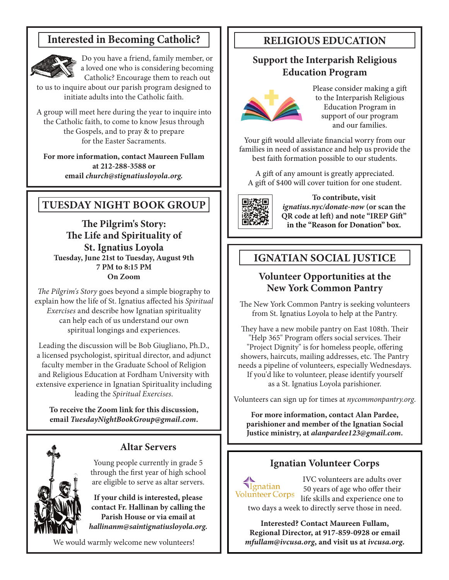# **Interested in Becoming Catholic?**



Do you have a friend, family member, or a loved one who is considering becoming Catholic? Encourage them to reach out

to us to inquire about our parish program designed to initiate adults into the Catholic faith.

A group will meet here during the year to inquire into the Catholic faith, to come to know Jesus through the Gospels, and to pray & to prepare for the Easter Sacraments.

**For more information, contact Maureen Fullam at 212-288-3588 or email** *church@stignatiusloyola.org.*

# **TUESDAY NIGHT BOOK GROUP**

**The Pilgrim's Story: The Life and Spirituality of St. Ignatius Loyola Tuesday, June 21st to Tuesday, August 9th 7 PM to 8:15 PM On Zoom**

*The Pilgrim's Story* goes beyond a simple biography to explain how the life of St. Ignatius affected his *Spiritual Exercises* and describe how Ignatian spirituality can help each of us understand our own spiritual longings and experiences.

Leading the discussion will be Bob Giugliano, Ph.D., a licensed psychologist, spiritual director, and adjunct faculty member in the Graduate School of Religion and Religious Education at Fordham University with extensive experience in Ignatian Spirituality including leading the *Spiritual Exercises*.

**To receive the Zoom link for this discussion, email** *TuesdayNightBookGroup@gmail.com***.**



## **Altar Servers**

Young people currently in grade 5 through the first year of high school are eligible to serve as altar servers.

**If your child is interested, please contact Fr. Hallinan by calling the Parish House or via email at**  *hallinanm@saintignatiusloyola.org.*

We would warmly welcome new volunteers!

# **RELIGIOUS EDUCATION**

## **Support the Interparish Religious Education Program**



Please consider making a gift to the Interparish Religious Education Program in support of our program and our families.

Your gift would alleviate financial worry from our families in need of assistance and help us provide the best faith formation possible to our students.

A gift of any amount is greatly appreciated. A gift of \$400 will cover tuition for one student.



**To contribute, visit**  *ignatius.nyc/donate-now* **(or scan the QR code at left) and note "IREP Gift" in the "Reason for Donation" box.**

# **IGNATIAN SOCIAL JUSTICE**

## **Volunteer Opportunities at the New York Common Pantry**

The New York Common Pantry is seeking volunteers from St. Ignatius Loyola to help at the Pantry.

They have a new mobile pantry on East 108th. Their "Help 365" Program offers social services. Their "Project Dignity" is for homeless people, offering showers, haircuts, mailing addresses, etc. The Pantry needs a pipeline of volunteers, especially Wednesdays. If you'd like to volunteer, please identify yourself as a St. Ignatius Loyola parishioner.

Volunteers can sign up for times at *nycommonpantry.org*.

**For more information, contact Alan Pardee, parishioner and member of the Ignatian Social Justice ministry, at** *alanpardee123@gmail.com***.**

## **Ignatian Volunteer Corps**

**Ignatian** Volunteer Corps

IVC volunteers are adults over 50 years of age who offer their life skills and experience one to two days a week to directly serve those in need.

**Interested? Contact Maureen Fullam, Regional Director, at 917-859-0928 or email**  *mfullam@ivcusa.org***, and visit us at** *ivcusa.org***.**